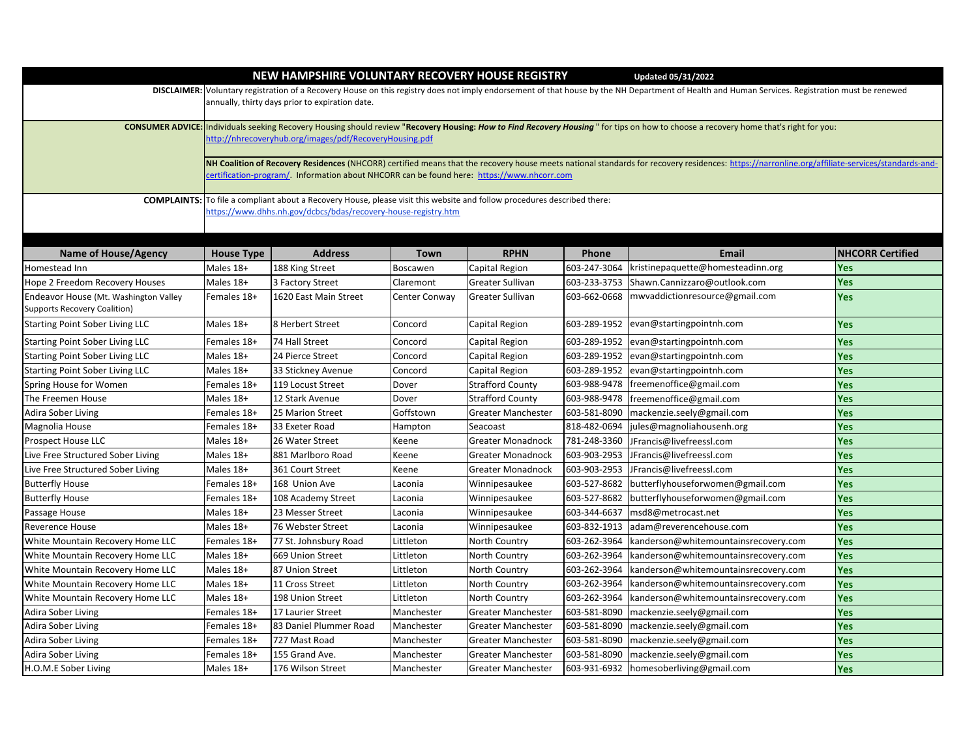|                                                                                                                                                                                                  |                                                                                                                                                                                                                                                 | NEW HAMPSHIRE VOLUNTARY RECOVERY HOUSE REGISTRY |               |                           |              | <b>Updated 05/31/2022</b>            |                         |  |  |  |  |
|--------------------------------------------------------------------------------------------------------------------------------------------------------------------------------------------------|-------------------------------------------------------------------------------------------------------------------------------------------------------------------------------------------------------------------------------------------------|-------------------------------------------------|---------------|---------------------------|--------------|--------------------------------------|-------------------------|--|--|--|--|
| DISCLAIMER: Voluntary registration of a Recovery House on this registry does not imply endorsement of that house by the NH Department of Health and Human Services. Registration must be renewed |                                                                                                                                                                                                                                                 |                                                 |               |                           |              |                                      |                         |  |  |  |  |
|                                                                                                                                                                                                  |                                                                                                                                                                                                                                                 | annually, thirty days prior to expiration date. |               |                           |              |                                      |                         |  |  |  |  |
|                                                                                                                                                                                                  |                                                                                                                                                                                                                                                 |                                                 |               |                           |              |                                      |                         |  |  |  |  |
|                                                                                                                                                                                                  | CONSUMER ADVICE: Individuals seeking Recovery Housing should review "Recovery Housing: How to Find Recovery Housing" for tips on how to choose a recovery home that's right for you:<br>http://nhrecoveryhub.org/images/pdf/RecoveryHousing.pdf |                                                 |               |                           |              |                                      |                         |  |  |  |  |
|                                                                                                                                                                                                  |                                                                                                                                                                                                                                                 |                                                 |               |                           |              |                                      |                         |  |  |  |  |
|                                                                                                                                                                                                  | NH Coalition of Recovery Residences (NHCORR) certified means that the recovery house meets national standards for recovery residences: https://narronline.org/affiliate-services/standards-and-                                                 |                                                 |               |                           |              |                                      |                         |  |  |  |  |
|                                                                                                                                                                                                  | certification-program/. Information about NHCORR can be found here: https://www.nhcorr.com                                                                                                                                                      |                                                 |               |                           |              |                                      |                         |  |  |  |  |
| <b>COMPLAINTS:</b>                                                                                                                                                                               | To file a compliant about a Recovery House, please visit this website and follow procedures described there:                                                                                                                                    |                                                 |               |                           |              |                                      |                         |  |  |  |  |
|                                                                                                                                                                                                  | https://www.dhhs.nh.gov/dcbcs/bdas/recovery-house-registry.htm                                                                                                                                                                                  |                                                 |               |                           |              |                                      |                         |  |  |  |  |
|                                                                                                                                                                                                  |                                                                                                                                                                                                                                                 |                                                 |               |                           |              |                                      |                         |  |  |  |  |
|                                                                                                                                                                                                  |                                                                                                                                                                                                                                                 |                                                 |               |                           |              |                                      |                         |  |  |  |  |
| <b>Name of House/Agency</b>                                                                                                                                                                      | <b>House Type</b>                                                                                                                                                                                                                               | <b>Address</b>                                  | Town          | <b>RPHN</b>               | Phone        | <b>Email</b>                         | <b>NHCORR Certified</b> |  |  |  |  |
| Homestead Inn                                                                                                                                                                                    | Males 18+                                                                                                                                                                                                                                       | 188 King Street                                 | Boscawen      | Capital Region            | 603-247-3064 | kristinepaquette@homesteadinn.org    | Yes                     |  |  |  |  |
| Hope 2 Freedom Recovery Houses                                                                                                                                                                   | Males 18+                                                                                                                                                                                                                                       | 3 Factory Street                                | Claremont     | Greater Sullivan          | 603-233-3753 | Shawn.Cannizzaro@outlook.com         | Yes                     |  |  |  |  |
| Endeavor House (Mt. Washington Valley                                                                                                                                                            | Females 18+                                                                                                                                                                                                                                     | 1620 East Main Street                           | Center Conway | Greater Sullivan          | 603-662-0668 | mwvaddictionresource@gmail.com       | Yes                     |  |  |  |  |
| Supports Recovery Coalition)                                                                                                                                                                     |                                                                                                                                                                                                                                                 |                                                 |               |                           |              |                                      |                         |  |  |  |  |
| <b>Starting Point Sober Living LLC</b>                                                                                                                                                           | Males 18+                                                                                                                                                                                                                                       | 8 Herbert Street                                | Concord       | Capital Region            | 603-289-1952 | evan@startingpointnh.com             | Yes                     |  |  |  |  |
| <b>Starting Point Sober Living LLC</b>                                                                                                                                                           | Females 18+                                                                                                                                                                                                                                     | 74 Hall Street                                  | Concord       | Capital Region            | 603-289-1952 | evan@startingpointnh.com             | Yes                     |  |  |  |  |
| <b>Starting Point Sober Living LLC</b>                                                                                                                                                           | Males 18+                                                                                                                                                                                                                                       | 24 Pierce Street                                | Concord       | Capital Region            | 603-289-1952 | evan@startingpointnh.com             | Yes                     |  |  |  |  |
| <b>Starting Point Sober Living LLC</b>                                                                                                                                                           | Males 18+                                                                                                                                                                                                                                       | 33 Stickney Avenue                              | Concord       | Capital Region            | 603-289-1952 | evan@startingpointnh.com             | Yes                     |  |  |  |  |
| Spring House for Women                                                                                                                                                                           | Females 18+                                                                                                                                                                                                                                     | 119 Locust Street                               | Dover         | <b>Strafford County</b>   | 603-988-9478 | freemenoffice@gmail.com              | Yes                     |  |  |  |  |
| The Freemen House                                                                                                                                                                                | Males 18+                                                                                                                                                                                                                                       | 12 Stark Avenue                                 | Dover         | <b>Strafford County</b>   | 603-988-9478 | freemenoffice@gmail.com              | Yes                     |  |  |  |  |
| Adira Sober Living                                                                                                                                                                               | Females 18+                                                                                                                                                                                                                                     | 25 Marion Street                                | Goffstown     | Greater Manchester        | 603-581-8090 | mackenzie.seely@gmail.com            | Yes                     |  |  |  |  |
| Magnolia House                                                                                                                                                                                   | Females 18+                                                                                                                                                                                                                                     | 33 Exeter Road                                  | Hampton       | Seacoast                  | 818-482-0694 | jules@magnoliahousenh.org            | Yes                     |  |  |  |  |
| Prospect House LLC                                                                                                                                                                               | Males 18+                                                                                                                                                                                                                                       | 26 Water Street                                 | Keene         | Greater Monadnock         | 781-248-3360 | JFrancis@livefreessl.com             | Yes                     |  |  |  |  |
| Live Free Structured Sober Living                                                                                                                                                                | Males 18+                                                                                                                                                                                                                                       | 881 Marlboro Road                               | Keene         | Greater Monadnock         | 603-903-2953 | JFrancis@livefreessl.com             | Yes                     |  |  |  |  |
| Live Free Structured Sober Living                                                                                                                                                                | Males 18+                                                                                                                                                                                                                                       | 361 Court Street                                | Keene         | Greater Monadnock         | 603-903-2953 | JFrancis@livefreessl.com             | Yes                     |  |  |  |  |
| <b>Butterfly House</b>                                                                                                                                                                           | Females 18+                                                                                                                                                                                                                                     | 168 Union Ave                                   | Laconia       | Winnipesaukee             | 603-527-8682 | butterflyhouseforwomen@gmail.com     | Yes                     |  |  |  |  |
| <b>Butterfly House</b>                                                                                                                                                                           | Females 18+                                                                                                                                                                                                                                     | 108 Academy Street                              | Laconia       | Winnipesaukee             | 603-527-8682 | butterflyhouseforwomen@gmail.com     | Yes                     |  |  |  |  |
| Passage House                                                                                                                                                                                    | Males 18+                                                                                                                                                                                                                                       | 23 Messer Street                                | Laconia       | Winnipesaukee             | 603-344-6637 | msd8@metrocast.net                   | Yes                     |  |  |  |  |
| Reverence House                                                                                                                                                                                  | Males 18+                                                                                                                                                                                                                                       | 76 Webster Street                               | Laconia       | Winnipesaukee             | 603-832-1913 | adam@reverencehouse.com              | Yes                     |  |  |  |  |
| White Mountain Recovery Home LLC                                                                                                                                                                 | Females 18+                                                                                                                                                                                                                                     | 77 St. Johnsbury Road                           | Littleton     | North Country             | 603-262-3964 | kanderson@whitemountainsrecovery.com | Yes                     |  |  |  |  |
| White Mountain Recovery Home LLC                                                                                                                                                                 | Males 18+                                                                                                                                                                                                                                       | 669 Union Street                                | Littleton     | North Country             | 603-262-3964 | kanderson@whitemountainsrecovery.com | Yes                     |  |  |  |  |
| White Mountain Recovery Home LLC                                                                                                                                                                 | Males 18+                                                                                                                                                                                                                                       | 87 Union Street                                 | Littleton     | North Country             | 603-262-3964 | kanderson@whitemountainsrecovery.com | Yes                     |  |  |  |  |
| White Mountain Recovery Home LLC                                                                                                                                                                 | Males 18+                                                                                                                                                                                                                                       | 11 Cross Street                                 | Littleton     | <b>North Country</b>      | 603-262-3964 | kanderson@whitemountainsrecovery.com | Yes                     |  |  |  |  |
| White Mountain Recovery Home LLC                                                                                                                                                                 | Males 18+                                                                                                                                                                                                                                       | 198 Union Street                                | Littleton     | North Country             | 603-262-3964 | kanderson@whitemountainsrecovery.com | Yes                     |  |  |  |  |
| Adira Sober Living                                                                                                                                                                               | Females 18+                                                                                                                                                                                                                                     | 17 Laurier Street                               | Manchester    | Greater Manchester        | 603-581-8090 | mackenzie.seely@gmail.com            | Yes                     |  |  |  |  |
| Adira Sober Living                                                                                                                                                                               | Females 18+                                                                                                                                                                                                                                     | 83 Daniel Plummer Road                          | Manchester    | Greater Manchester        | 603-581-8090 | mackenzie.seely@gmail.com            | Yes                     |  |  |  |  |
| Adira Sober Living                                                                                                                                                                               | Females 18+                                                                                                                                                                                                                                     | 727 Mast Road                                   | Manchester    | Greater Manchester        | 603-581-8090 | mackenzie.seely@gmail.com            | Yes                     |  |  |  |  |
| Adira Sober Living                                                                                                                                                                               | Females 18+                                                                                                                                                                                                                                     | 155 Grand Ave.                                  | Manchester    | <b>Greater Manchester</b> | 603-581-8090 | mackenzie.seely@gmail.com            | Yes                     |  |  |  |  |
| H.O.M.E Sober Living                                                                                                                                                                             | Males 18+                                                                                                                                                                                                                                       | 176 Wilson Street                               | Manchester    | Greater Manchester        | 603-931-6932 | homesoberliving@gmail.com            | <b>Yes</b>              |  |  |  |  |